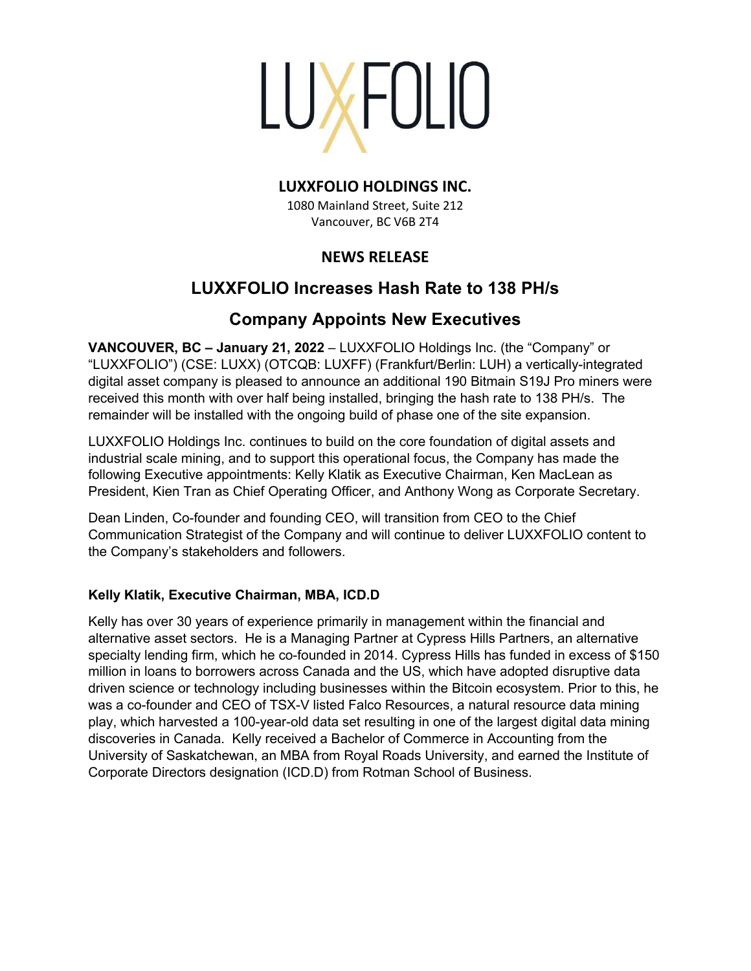

# **LUXXFOLIO HOLDINGS INC.**

1080 Mainland Street, Suite 212 Vancouver, BC V6B 2T4

# **NEWS RELEASE**

# **LUXXFOLIO Increases Hash Rate to 138 PH/s**

# **Company Appoints New Executives**

**VANCOUVER, BC – January 21, 2022** – LUXXFOLIO Holdings Inc. (the "Company" or "LUXXFOLIO") (CSE: LUXX) (OTCQB: LUXFF) (Frankfurt/Berlin: LUH) a vertically-integrated digital asset company is pleased to announce an additional 190 Bitmain S19J Pro miners were received this month with over half being installed, bringing the hash rate to 138 PH/s. The remainder will be installed with the ongoing build of phase one of the site expansion.

LUXXFOLIO Holdings Inc. continues to build on the core foundation of digital assets and industrial scale mining, and to support this operational focus, the Company has made the following Executive appointments: Kelly Klatik as Executive Chairman, Ken MacLean as President, Kien Tran as Chief Operating Officer, and Anthony Wong as Corporate Secretary.

Dean Linden, Co-founder and founding CEO, will transition from CEO to the Chief Communication Strategist of the Company and will continue to deliver LUXXFOLIO content to the Company's stakeholders and followers.

# **Kelly Klatik, Executive Chairman, MBA, ICD.D**

Kelly has over 30 years of experience primarily in management within the financial and alternative asset sectors. He is a Managing Partner at Cypress Hills Partners, an alternative specialty lending firm, which he co-founded in 2014. Cypress Hills has funded in excess of \$150 million in loans to borrowers across Canada and the US, which have adopted disruptive data driven science or technology including businesses within the Bitcoin ecosystem. Prior to this, he was a co-founder and CEO of TSX-V listed Falco Resources, a natural resource data mining play, which harvested a 100-year-old data set resulting in one of the largest digital data mining discoveries in Canada. Kelly received a Bachelor of Commerce in Accounting from the University of Saskatchewan, an MBA from Royal Roads University, and earned the Institute of Corporate Directors designation (ICD.D) from Rotman School of Business.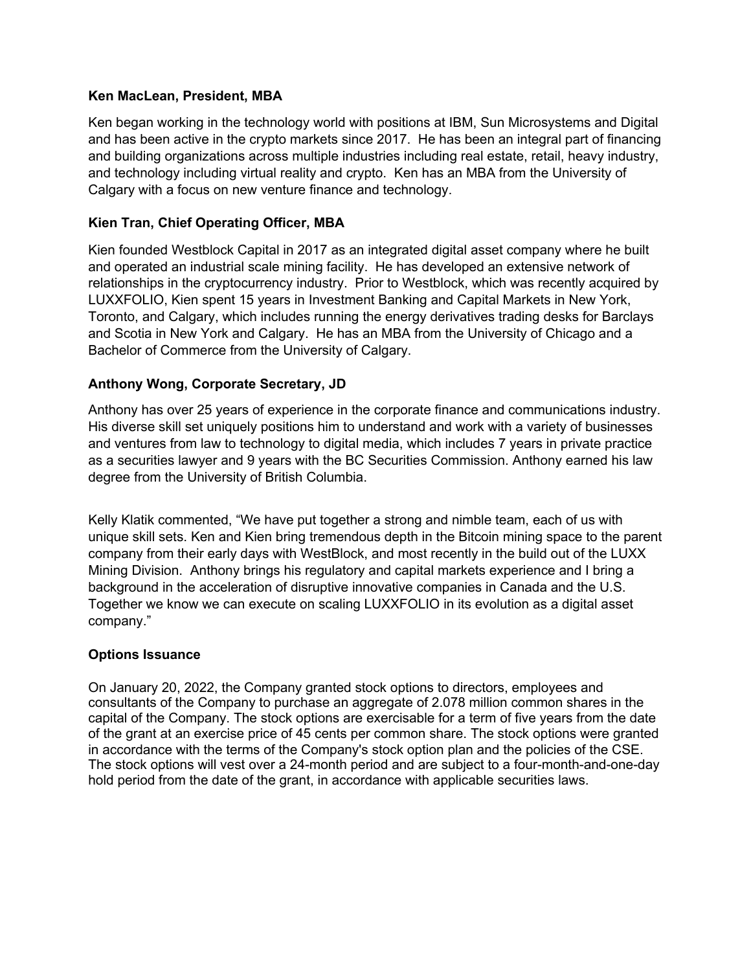# **Ken MacLean, President, MBA**

Ken began working in the technology world with positions at IBM, Sun Microsystems and Digital and has been active in the crypto markets since 2017. He has been an integral part of financing and building organizations across multiple industries including real estate, retail, heavy industry, and technology including virtual reality and crypto. Ken has an MBA from the University of Calgary with a focus on new venture finance and technology.

# **Kien Tran, Chief Operating Officer, MBA**

Kien founded Westblock Capital in 2017 as an integrated digital asset company where he built and operated an industrial scale mining facility. He has developed an extensive network of relationships in the cryptocurrency industry. Prior to Westblock, which was recently acquired by LUXXFOLIO, Kien spent 15 years in Investment Banking and Capital Markets in New York, Toronto, and Calgary, which includes running the energy derivatives trading desks for Barclays and Scotia in New York and Calgary. He has an MBA from the University of Chicago and a Bachelor of Commerce from the University of Calgary.

# **Anthony Wong, Corporate Secretary, JD**

Anthony has over 25 years of experience in the corporate finance and communications industry. His diverse skill set uniquely positions him to understand and work with a variety of businesses and ventures from law to technology to digital media, which includes 7 years in private practice as a securities lawyer and 9 years with the BC Securities Commission. Anthony earned his law degree from the University of British Columbia.

Kelly Klatik commented, "We have put together a strong and nimble team, each of us with unique skill sets. Ken and Kien bring tremendous depth in the Bitcoin mining space to the parent company from their early days with WestBlock, and most recently in the build out of the LUXX Mining Division. Anthony brings his regulatory and capital markets experience and I bring a background in the acceleration of disruptive innovative companies in Canada and the U.S. Together we know we can execute on scaling LUXXFOLIO in its evolution as a digital asset company."

#### **Options Issuance**

On January 20, 2022, the Company granted stock options to directors, employees and consultants of the Company to purchase an aggregate of 2.078 million common shares in the capital of the Company. The stock options are exercisable for a term of five years from the date of the grant at an exercise price of 45 cents per common share. The stock options were granted in accordance with the terms of the Company's stock option plan and the policies of the CSE. The stock options will vest over a 24-month period and are subject to a four-month-and-one-day hold period from the date of the grant, in accordance with applicable securities laws.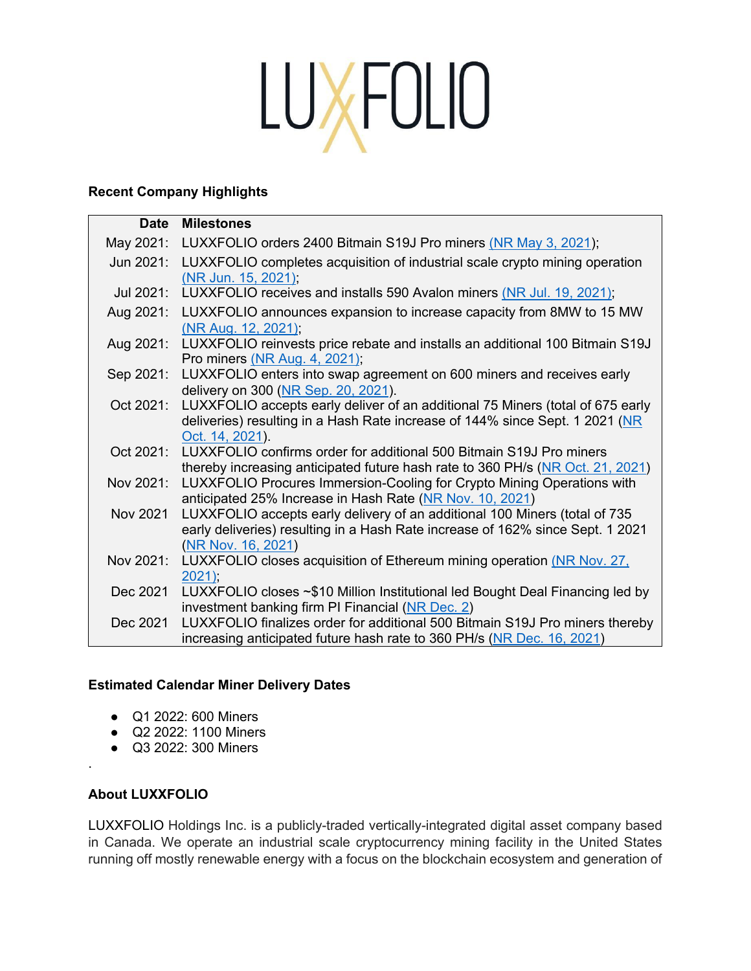# LUXFOLIO

# **Recent Company Highlights**

| <b>Date</b> | <b>Milestones</b>                                                                                                                                                                  |
|-------------|------------------------------------------------------------------------------------------------------------------------------------------------------------------------------------|
| May 2021:   | LUXXFOLIO orders 2400 Bitmain S19J Pro miners (NR May 3, 2021);                                                                                                                    |
| Jun 2021:   | LUXXFOLIO completes acquisition of industrial scale crypto mining operation<br>(NR Jun. 15, 2021);                                                                                 |
| Jul 2021:   | LUXXFOLIO receives and installs 590 Avalon miners (NR Jul. 19, 2021);                                                                                                              |
| Aug 2021:   | LUXXFOLIO announces expansion to increase capacity from 8MW to 15 MW<br>(NR Aug. 12, 2021);                                                                                        |
| Aug 2021:   | LUXXFOLIO reinvests price rebate and installs an additional 100 Bitmain S19J<br>Pro miners (NR Aug. 4, 2021);                                                                      |
| Sep 2021:   | LUXXFOLIO enters into swap agreement on 600 miners and receives early<br>delivery on 300 (NR Sep. 20, 2021).                                                                       |
| Oct 2021:   | LUXXFOLIO accepts early deliver of an additional 75 Miners (total of 675 early<br>deliveries) resulting in a Hash Rate increase of 144% since Sept. 1 2021 (NR<br>Oct. 14, 2021).  |
| Oct 2021:   | LUXXFOLIO confirms order for additional 500 Bitmain S19J Pro miners<br>thereby increasing anticipated future hash rate to 360 PH/s (NR Oct. 21, 2021)                              |
| Nov 2021:   | LUXXFOLIO Procures Immersion-Cooling for Crypto Mining Operations with<br>anticipated 25% Increase in Hash Rate (NR Nov. 10, 2021)                                                 |
| Nov 2021    | LUXXFOLIO accepts early delivery of an additional 100 Miners (total of 735<br>early deliveries) resulting in a Hash Rate increase of 162% since Sept. 1 2021<br>(NR Nov. 16, 2021) |
| Nov 2021:   | LUXXFOLIO closes acquisition of Ethereum mining operation (NR Nov. 27,<br>2021                                                                                                     |
| Dec 2021    | LUXXFOLIO closes ~\$10 Million Institutional led Bought Deal Financing led by<br>investment banking firm PI Financial (NR Dec. 2)                                                  |
| Dec 2021    | LUXXFOLIO finalizes order for additional 500 Bitmain S19J Pro miners thereby<br>increasing anticipated future hash rate to 360 PH/s (NR Dec. 16, 2021)                             |

# **Estimated Calendar Miner Delivery Dates**

- Q1 2022: 600 Miners
- Q2 2022: 1100 Miners
- Q3 2022: 300 Miners

# **About LUXXFOLIO**

.

LUXXFOLIO Holdings Inc. is a publicly-traded vertically-integrated digital asset company based in Canada. We operate an industrial scale cryptocurrency mining facility in the United States running off mostly renewable energy with a focus on the blockchain ecosystem and generation of